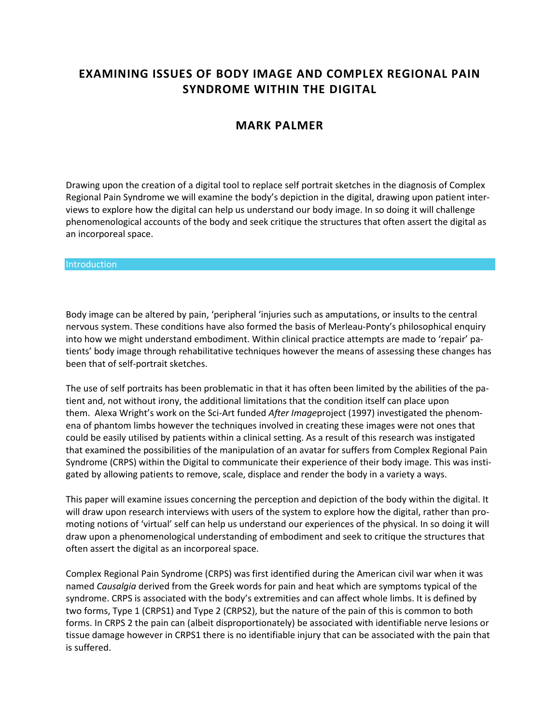# **EXAMINING ISSUES OF BODY IMAGE AND COMPLEX REGIONAL PAIN SYNDROME WITHIN THE DIGITAL**

# **MARK PALMER**

Drawing upon the creation of a digital tool to replace self portrait sketches in the diagnosis of Complex Regional Pain Syndrome we will examine the body's depiction in the digital, drawing upon patient interviews to explore how the digital can help us understand our body image. In so doing it will challenge phenomenological accounts of the body and seek critique the structures that often assert the digital as an incorporeal space.

#### **Introduction**

Body image can be altered by pain, 'peripheral 'injuries such as amputations, or insults to the central nervous system. These conditions have also formed the basis of Merleau-Ponty's philosophical enquiry into how we might understand embodiment. Within clinical practice attempts are made to 'repair' patients' body image through rehabilitative techniques however the means of assessing these changes has been that of self-portrait sketches.

The use of self portraits has been problematic in that it has often been limited by the abilities of the patient and, not without irony, the additional limitations that the condition itself can place upon them. Alexa Wright's work on the Sci-Art funded *After Image*project (1997) investigated the phenomena of phantom limbs however the techniques involved in creating these images were not ones that could be easily utilised by patients within a clinical setting. As a result of this research was instigated that examined the possibilities of the manipulation of an avatar for suffers from Complex Regional Pain Syndrome (CRPS) within the Digital to communicate their experience of their body image. This was instigated by allowing patients to remove, scale, displace and render the body in a variety a ways.

This paper will examine issues concerning the perception and depiction of the body within the digital. It will draw upon research interviews with users of the system to explore how the digital, rather than promoting notions of 'virtual' self can help us understand our experiences of the physical. In so doing it will draw upon a phenomenological understanding of embodiment and seek to critique the structures that often assert the digital as an incorporeal space.

Complex Regional Pain Syndrome (CRPS) was first identified during the American civil war when it was named *Causalgia* derived from the Greek words for pain and heat which are symptoms typical of the syndrome. CRPS is associated with the body's extremities and can affect whole limbs. It is defined by two forms, Type 1 (CRPS1) and Type 2 (CRPS2), but the nature of the pain of this is common to both forms. In CRPS 2 the pain can (albeit disproportionately) be associated with identifiable nerve lesions or tissue damage however in CRPS1 there is no identifiable injury that can be associated with the pain that is suffered.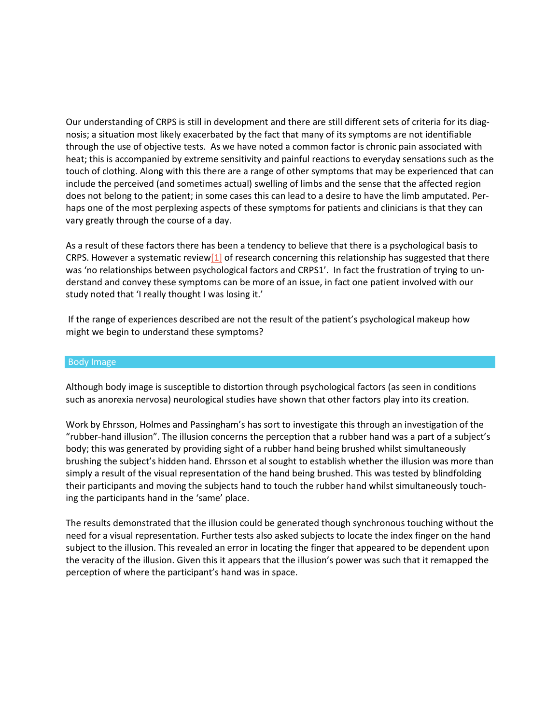Our understanding of CRPS is still in development and there are still different sets of criteria for its diagnosis; a situation most likely exacerbated by the fact that many of its symptoms are not identifiable through the use of objective tests. As we have noted a common factor is chronic pain associated with heat; this is accompanied by extreme sensitivity and painful reactions to everyday sensations such as the touch of clothing. Along with this there are a range of other symptoms that may be experienced that can include the perceived (and sometimes actual) swelling of limbs and the sense that the affected region does not belong to the patient; in some cases this can lead to a desire to have the limb amputated. Perhaps one of the most perplexing aspects of these symptoms for patients and clinicians is that they can vary greatly through the course of a day.

As a result of these factors there has been a tendency to believe that there is a psychological basis to CRPS. However a systematic revie[w\[1\]](http://isea2011.sabanciuniv.edu/index.html#_edn1) of research concerning this relationship has suggested that there was 'no relationships between psychological factors and CRPS1'. In fact the frustration of trying to understand and convey these symptoms can be more of an issue, in fact one patient involved with our study noted that 'I really thought I was losing it.'

If the range of experiences described are not the result of the patient's psychological makeup how might we begin to understand these symptoms?

#### Body Image

Although body image is susceptible to distortion through psychological factors (as seen in conditions such as anorexia nervosa) neurological studies have shown that other factors play into its creation.

Work by Ehrsson, Holmes and Passingham's has sort to investigate this through an investigation of the "rubber-hand illusion". The illusion concerns the perception that a rubber hand was a part of a subject's body; this was generated by providing sight of a rubber hand being brushed whilst simultaneously brushing the subject's hidden hand. Ehrsson et al sought to establish whether the illusion was more than simply a result of the visual representation of the hand being brushed. This was tested by blindfolding their participants and moving the subjects hand to touch the rubber hand whilst simultaneously touching the participants hand in the 'same' place.

The results demonstrated that the illusion could be generated though synchronous touching without the need for a visual representation. Further tests also asked subjects to locate the index finger on the hand subject to the illusion. This revealed an error in locating the finger that appeared to be dependent upon the veracity of the illusion. Given this it appears that the illusion's power was such that it remapped the perception of where the participant's hand was in space.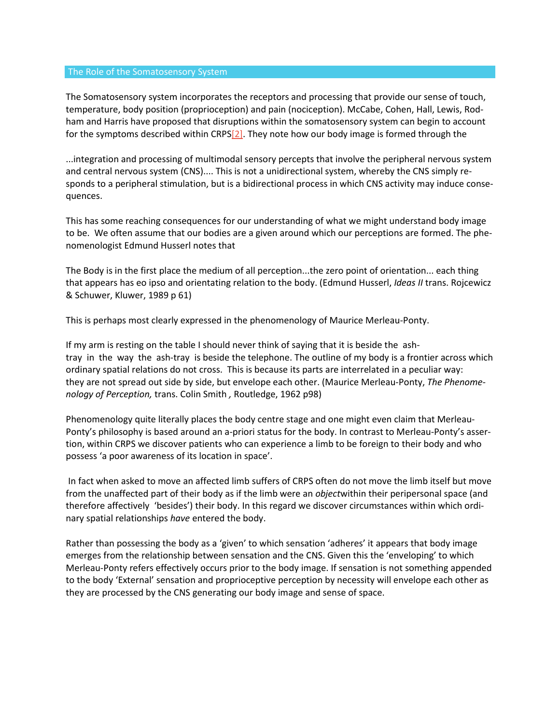#### The Role of the Somatosensory System

The Somatosensory system incorporates the receptors and processing that provide our sense of touch, temperature, body position (proprioception) and pain (nociception). McCabe, Cohen, Hall, Lewis, Rodham and Harris have proposed that disruptions within the somatosensory system can begin to account for the symptoms described within CRPS $[2]$ . They note how our body image is formed through the

...integration and processing of multimodal sensory percepts that involve the peripheral nervous system and central nervous system (CNS).... This is not a unidirectional system, whereby the CNS simply responds to a peripheral stimulation, but is a bidirectional process in which CNS activity may induce consequences.

This has some reaching consequences for our understanding of what we might understand body image to be. We often assume that our bodies are a given around which our perceptions are formed. The phenomenologist Edmund Husserl notes that

The Body is in the first place the medium of all perception...the zero point of orientation... each thing that appears has eo ipso and orientating relation to the body. (Edmund Husserl, *Ideas II* trans. Rojcewicz & Schuwer, Kluwer, 1989 p 61)

This is perhaps most clearly expressed in the phenomenology of Maurice Merleau-Ponty.

If my arm is resting on the table I should never think of saying that it is beside the ashtray in the way the ash-tray is beside the telephone. The outline of my body is a frontier across which ordinary spatial relations do not cross. This is because its parts are interrelated in a peculiar way: they are not spread out side by side, but envelope each other. (Maurice Merleau-Ponty, *The Phenomenology of Perception,* trans. Colin Smith *,* Routledge, 1962 p98)

Phenomenology quite literally places the body centre stage and one might even claim that Merleau-Ponty's philosophy is based around an a-priori status for the body. In contrast to Merleau-Ponty's assertion, within CRPS we discover patients who can experience a limb to be foreign to their body and who possess 'a poor awareness of its location in space'.

In fact when asked to move an affected limb suffers of CRPS often do not move the limb itself but move from the unaffected part of their body as if the limb were an *object*within their peripersonal space (and therefore affectively 'besides') their body. In this regard we discover circumstances within which ordinary spatial relationships *have* entered the body.

Rather than possessing the body as a 'given' to which sensation 'adheres' it appears that body image emerges from the relationship between sensation and the CNS. Given this the 'enveloping' to which Merleau-Ponty refers effectively occurs prior to the body image. If sensation is not something appended to the body 'External' sensation and proprioceptive perception by necessity will envelope each other as they are processed by the CNS generating our body image and sense of space.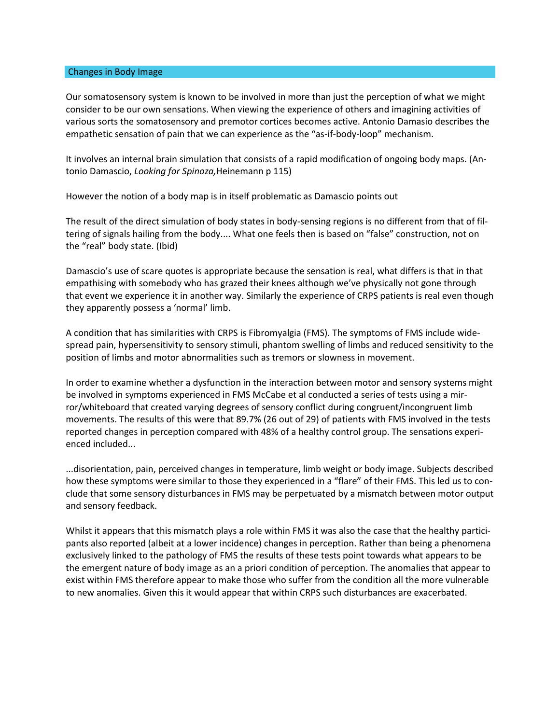#### Changes in Body Image

Our somatosensory system is known to be involved in more than just the perception of what we might consider to be our own sensations. When viewing the experience of others and imagining activities of various sorts the somatosensory and premotor cortices becomes active. Antonio Damasio describes the empathetic sensation of pain that we can experience as the "as-if-body-loop" mechanism.

It involves an internal brain simulation that consists of a rapid modification of ongoing body maps. (Antonio Damascio, *Looking for Spinoza,*Heinemann p 115)

However the notion of a body map is in itself problematic as Damascio points out

The result of the direct simulation of body states in body-sensing regions is no different from that of filtering of signals hailing from the body.... What one feels then is based on "false" construction, not on the "real" body state. (Ibid)

Damascio's use of scare quotes is appropriate because the sensation is real, what differs is that in that empathising with somebody who has grazed their knees although we've physically not gone through that event we experience it in another way. Similarly the experience of CRPS patients is real even though they apparently possess a 'normal' limb.

A condition that has similarities with CRPS is Fibromyalgia (FMS). The symptoms of FMS include widespread pain, hypersensitivity to sensory stimuli, phantom swelling of limbs and reduced sensitivity to the position of limbs and motor abnormalities such as tremors or slowness in movement.

In order to examine whether a dysfunction in the interaction between motor and sensory systems might be involved in symptoms experienced in FMS McCabe et al conducted a series of tests using a mirror/whiteboard that created varying degrees of sensory conflict during congruent/incongruent limb movements. The results of this were that 89.7% (26 out of 29) of patients with FMS involved in the tests reported changes in perception compared with 48% of a healthy control group. The sensations experienced included...

...disorientation, pain, perceived changes in temperature, limb weight or body image. Subjects described how these symptoms were similar to those they experienced in a "flare" of their FMS. This led us to conclude that some sensory disturbances in FMS may be perpetuated by a mismatch between motor output and sensory feedback.

Whilst it appears that this mismatch plays a role within FMS it was also the case that the healthy participants also reported (albeit at a lower incidence) changes in perception. Rather than being a phenomena exclusively linked to the pathology of FMS the results of these tests point towards what appears to be the emergent nature of body image as an a priori condition of perception. The anomalies that appear to exist within FMS therefore appear to make those who suffer from the condition all the more vulnerable to new anomalies. Given this it would appear that within CRPS such disturbances are exacerbated.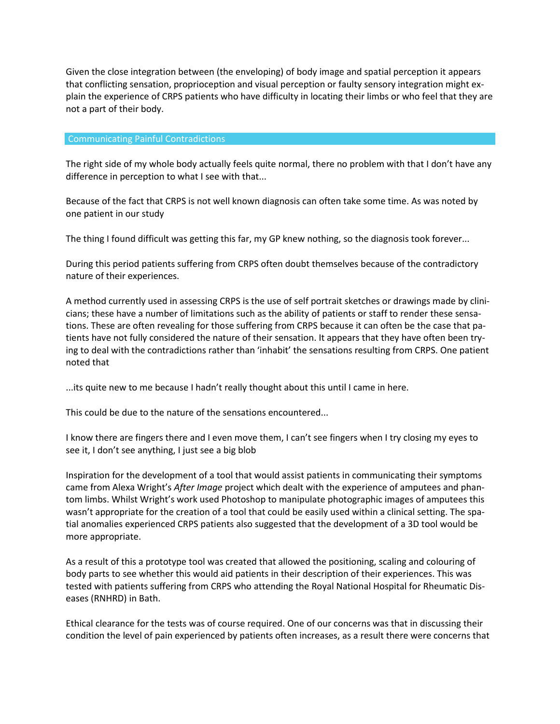Given the close integration between (the enveloping) of body image and spatial perception it appears that conflicting sensation, proprioception and visual perception or faulty sensory integration might explain the experience of CRPS patients who have difficulty in locating their limbs or who feel that they are not a part of their body.

#### Communicating Painful Contradictions

The right side of my whole body actually feels quite normal, there no problem with that I don't have any difference in perception to what I see with that...

Because of the fact that CRPS is not well known diagnosis can often take some time. As was noted by one patient in our study

The thing I found difficult was getting this far, my GP knew nothing, so the diagnosis took forever...

During this period patients suffering from CRPS often doubt themselves because of the contradictory nature of their experiences.

A method currently used in assessing CRPS is the use of self portrait sketches or drawings made by clinicians; these have a number of limitations such as the ability of patients or staff to render these sensations. These are often revealing for those suffering from CRPS because it can often be the case that patients have not fully considered the nature of their sensation. It appears that they have often been trying to deal with the contradictions rather than 'inhabit' the sensations resulting from CRPS. One patient noted that

...its quite new to me because I hadn't really thought about this until I came in here.

This could be due to the nature of the sensations encountered...

I know there are fingers there and I even move them, I can't see fingers when I try closing my eyes to see it, I don't see anything, I just see a big blob

Inspiration for the development of a tool that would assist patients in communicating their symptoms came from Alexa Wright's *After Image* project which dealt with the experience of amputees and phantom limbs. Whilst Wright's work used Photoshop to manipulate photographic images of amputees this wasn't appropriate for the creation of a tool that could be easily used within a clinical setting. The spatial anomalies experienced CRPS patients also suggested that the development of a 3D tool would be more appropriate.

As a result of this a prototype tool was created that allowed the positioning, scaling and colouring of body parts to see whether this would aid patients in their description of their experiences. This was tested with patients suffering from CRPS who attending the Royal National Hospital for Rheumatic Diseases (RNHRD) in Bath.

Ethical clearance for the tests was of course required. One of our concerns was that in discussing their condition the level of pain experienced by patients often increases, as a result there were concerns that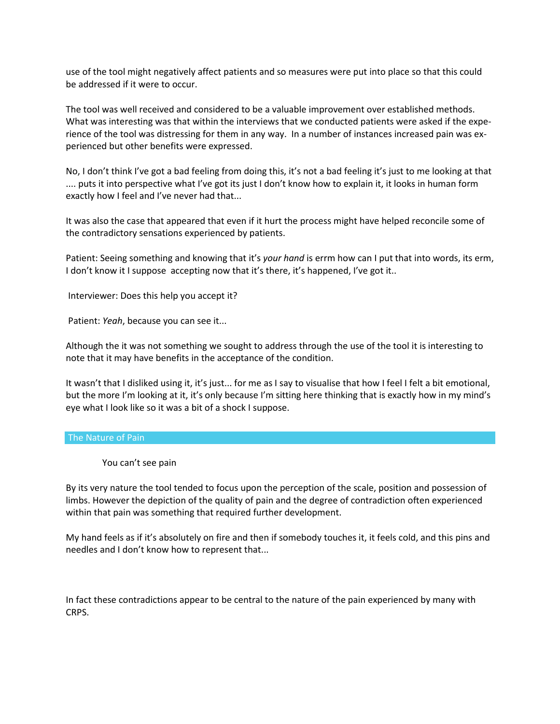use of the tool might negatively affect patients and so measures were put into place so that this could be addressed if it were to occur.

The tool was well received and considered to be a valuable improvement over established methods. What was interesting was that within the interviews that we conducted patients were asked if the experience of the tool was distressing for them in any way. In a number of instances increased pain was experienced but other benefits were expressed.

No, I don't think I've got a bad feeling from doing this, it's not a bad feeling it's just to me looking at that .... puts it into perspective what I've got its just I don't know how to explain it, it looks in human form exactly how I feel and I've never had that...

It was also the case that appeared that even if it hurt the process might have helped reconcile some of the contradictory sensations experienced by patients.

Patient: Seeing something and knowing that it's *your hand* is errm how can I put that into words, its erm, I don't know it I suppose accepting now that it's there, it's happened, I've got it..

Interviewer: Does this help you accept it?

Patient: *Yeah*, because you can see it...

Although the it was not something we sought to address through the use of the tool it is interesting to note that it may have benefits in the acceptance of the condition.

It wasn't that I disliked using it, it's just... for me as I say to visualise that how I feel I felt a bit emotional, but the more I'm looking at it, it's only because I'm sitting here thinking that is exactly how in my mind's eye what I look like so it was a bit of a shock I suppose.

### The Nature of Pain

You can't see pain

By its very nature the tool tended to focus upon the perception of the scale, position and possession of limbs. However the depiction of the quality of pain and the degree of contradiction often experienced within that pain was something that required further development.

My hand feels as if it's absolutely on fire and then if somebody touches it, it feels cold, and this pins and needles and I don't know how to represent that...

In fact these contradictions appear to be central to the nature of the pain experienced by many with CRPS.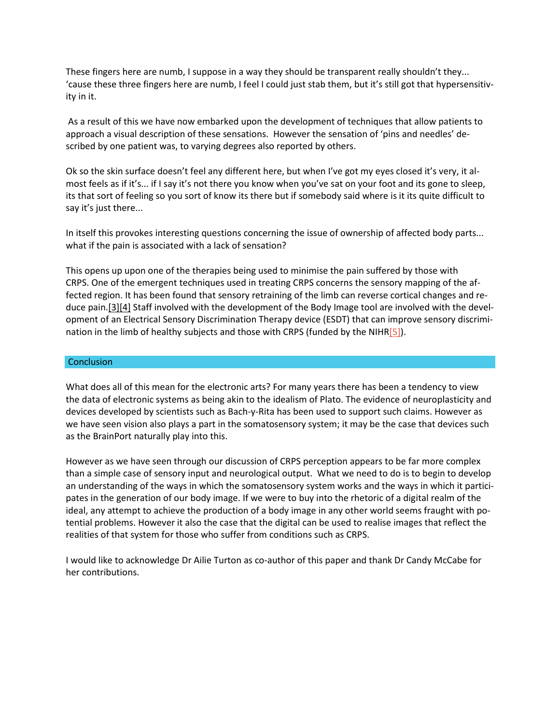These fingers here are numb, I suppose in a way they should be transparent really shouldn't they... 'cause these three fingers here are numb, I feel I could just stab them, but it's still got that hypersensitivity in it.

As a result of this we have now embarked upon the development of techniques that allow patients to approach a visual description of these sensations. However the sensation of 'pins and needles' described by one patient was, to varying degrees also reported by others.

Ok so the skin surface doesn't feel any different here, but when I've got my eyes closed it's very, it almost feels as if it's... if I say it's not there you know when you've sat on your foot and its gone to sleep, its that sort of feeling so you sort of know its there but if somebody said where is it its quite difficult to say it's just there...

In itself this provokes interesting questions concerning the issue of ownership of affected body parts... what if the pain is associated with a lack of sensation?

This opens up upon one of the therapies being used to minimise the pain suffered by those with CRPS. One of the emergent techniques used in treating CRPS concerns the sensory mapping of the affected region. It has been found that sensory retraining of the limb can reverse cortical changes and reduce pain[.\[3\]\[4\]](http://isea2011.sabanciuniv.edu/index.html#_edn3) Staff involved with the development of the Body Image tool are involved with the development of an Electrical Sensory Discrimination Therapy device (ESDT) that can improve sensory discrimination in the limb of healthy subjects and those with CRPS (funded by the NIHR $[5]$ ).

#### **Conclusion**

What does all of this mean for the electronic arts? For many years there has been a tendency to view the data of electronic systems as being akin to the idealism of Plato. The evidence of neuroplasticity and devices developed by scientists such as Bach-y-Rita has been used to support such claims. However as we have seen vision also plays a part in the somatosensory system; it may be the case that devices such as the BrainPort naturally play into this.

However as we have seen through our discussion of CRPS perception appears to be far more complex than a simple case of sensory input and neurological output. What we need to do is to begin to develop an understanding of the ways in which the somatosensory system works and the ways in which it participates in the generation of our body image. If we were to buy into the rhetoric of a digital realm of the ideal, any attempt to achieve the production of a body image in any other world seems fraught with potential problems. However it also the case that the digital can be used to realise images that reflect the realities of that system for those who suffer from conditions such as CRPS.

I would like to acknowledge Dr Ailie Turton as co-author of this paper and thank Dr Candy McCabe for her contributions.